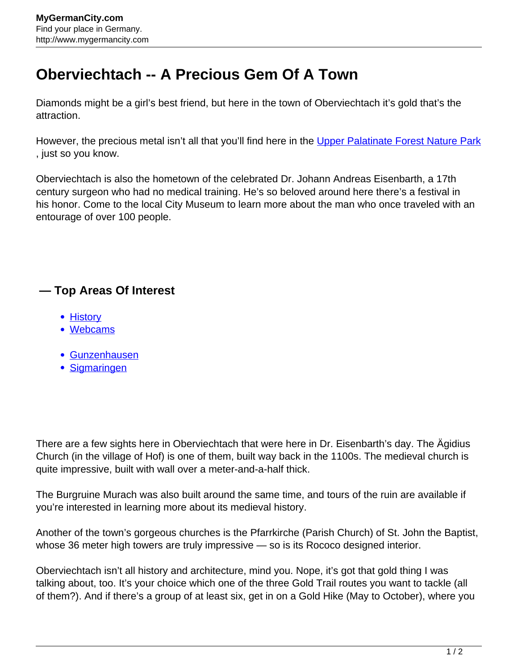## **Oberviechtach -- A Precious Gem Of A Town**

Diamonds might be a girl's best friend, but here in the town of Oberviechtach it's gold that's the attraction.

However, the precious metal isn't all that you'll find here in the [Upper Palatinate Forest Nature Park](http://www.mygermancity.com/upper-palatinate-forest) , just so you know.

Oberviechtach is also the hometown of the celebrated Dr. Johann Andreas Eisenbarth, a 17th century surgeon who had no medical training. He's so beloved around here there's a festival in his honor. Come to the local City Museum to learn more about the man who once traveled with an entourage of over 100 people.

## **— Top Areas Of Interest**

- **[History](http://www.mygermancity.com/leipzig-history)**
- [Webcams](http://www.mygermancity.com/neustadt-holstein-webcams)
- [Gunzenhausen](http://www.mygermancity.com/gunzenhausen)
- [Sigmaringen](http://www.mygermancity.com/sigmaringen)

There are a few sights here in Oberviechtach that were here in Dr. Eisenbarth's day. The Ägidius Church (in the village of Hof) is one of them, built way back in the 1100s. The medieval church is quite impressive, built with wall over a meter-and-a-half thick.

The Burgruine Murach was also built around the same time, and tours of the ruin are available if you're interested in learning more about its medieval history.

Another of the town's gorgeous churches is the Pfarrkirche (Parish Church) of St. John the Baptist, whose 36 meter high towers are truly impressive — so is its Rococo designed interior.

Oberviechtach isn't all history and architecture, mind you. Nope, it's got that gold thing I was talking about, too. It's your choice which one of the three Gold Trail routes you want to tackle (all of them?). And if there's a group of at least six, get in on a Gold Hike (May to October), where you